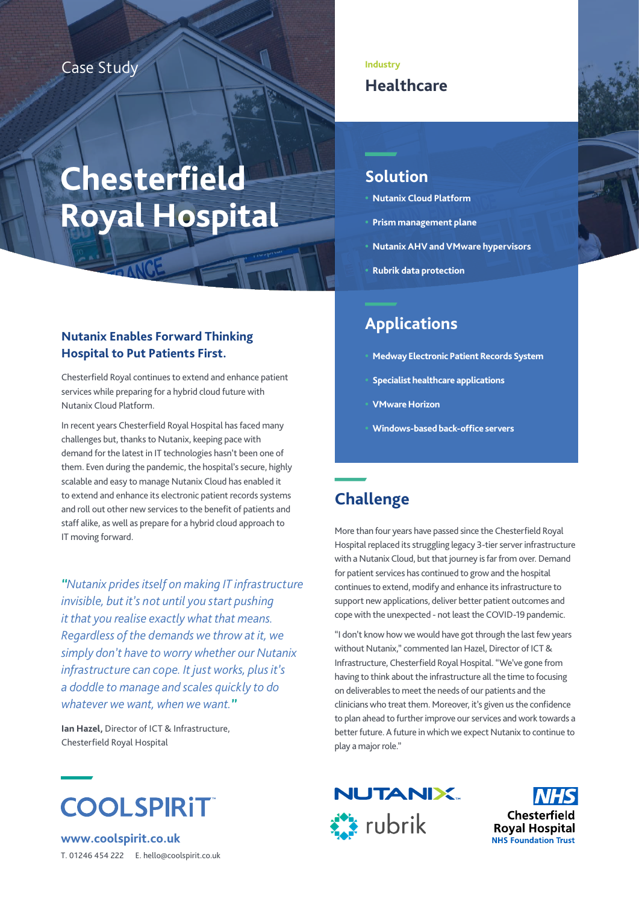## Case Study

# **Chesterfield Royal Hospital**

#### **Nutanix Enables Forward Thinking Hospital to Put Patients First.**

Chesterfield Royal continues to extend and enhance patient services while preparing for a hybrid cloud future with Nutanix Cloud Platform.

In recent years Chesterfield Royal Hospital has faced many challenges but, thanks to Nutanix, keeping pace with demand for the latest in IT technologies hasn't been one of them. Even during the pandemic, the hospital's secure, highly scalable and easy to manage Nutanix Cloud has enabled it to extend and enhance its electronic patient records systems and roll out other new services to the benefit of patients and staff alike, as well as prepare for a hybrid cloud approach to IT moving forward.

*"Nutanix prides itself on making IT infrastructure invisible, but it's not until you start pushing it that you realise exactly what that means. Regardless of the demands we throw at it, we simply don't have to worry whether our Nutanix infrastructure can cope. It just works, plus it's a doddle to manage and scales quickly to do whatever we want, when we want."*

**Ian Hazel,** Director of ICT & Infrastructure, Chesterfield Royal Hospital



**www.coolspirit.co.uk** T. 01246 454 222 E. hello@coolspirit.co.uk

### **Industry Healthcare**

# **Solution**

- **• Nutanix Cloud Platform**
- **• Prism management plane**
- **• Nutanix AHV and VMware hypervisors**
- **• Rubrik data protection**

# **Applications**

- **• Medway Electronic Patient Records System**
- **• Specialist healthcare applications**
- **• VMware Horizon**
- **• Windows-based back-office servers**

# **Challenge**

Hospital replaced its struggling legacy 3-tier server infrastructure with a Nutanix Cloud, but that journey is far from over. Demand for patient services has continued to grow and the hospital continues to extend, modify and enhance its infrastructure to support new applications, deliver better patient outcomes and cope with the unexpected - not least the COVID-19 pandemic.

"I don't know how we would have got through the last few years without Nutanix," commented Ian Hazel, Director of ICT & Infrastructure, Chesterfield Royal Hospital. "We've gone from having to think about the infrastructure all the time to focusing on deliverables to meet the needs of our patients and the clinicians who treat them. Moreover, it's given us the confidence to plan ahead to further improve our services and work towards a better future. A future in which we expect Nutanix to continue to play a major role."



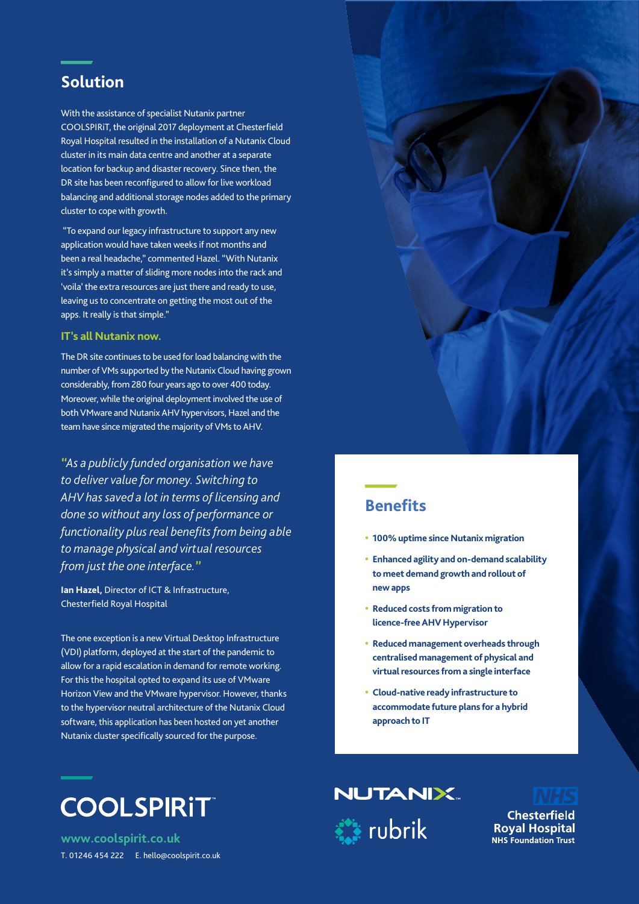# **Solution**

With the assistance of specialist Nutanix partner COOLSPIRiT, the original 2017 deployment at Chesterfield Royal Hospital resulted in the installation of a Nutanix Cloud cluster in its main data centre and another at a separate location for backup and disaster recovery. Since then, the DR site has been reconfigured to allow for live workload balancing and additional storage nodes added to the primary cluster to cope with growth.

 "To expand our legacy infrastructure to support any new application would have taken weeks if not months and been a real headache," commented Hazel. "With Nutanix it's simply a matter of sliding more nodes into the rack and 'voila' the extra resources are just there and ready to use, leaving us to concentrate on getting the most out of the apps. It really is that simple."

#### **IT's all Nutanix now.**

The DR site continues to be used for load balancing with the number of VMs supported by the Nutanix Cloud having grown considerably, from 280 four years ago to over 400 today. Moreover, while the original deployment involved the use of both VMware and Nutanix AHV hypervisors, Hazel and the team have since migrated the majority of VMs to AHV.

*"As a publicly funded organisation we have to deliver value for money. Switching to AHV has saved a lot in terms of licensing and done so without any loss of performance or functionality plus real benefits from being able to manage physical and virtual resources from just the one interface."*

**Ian Hazel,** Director of ICT & Infrastructure, Chesterfield Royal Hospital

The one exception is a new Virtual Desktop Infrastructure (VDI) platform, deployed at the start of the pandemic to allow for a rapid escalation in demand for remote working. For this the hospital opted to expand its use of VMware Horizon View and the VMware hypervisor. However, thanks to the hypervisor neutral architecture of the Nutanix Cloud software, this application has been hosted on yet another Nutanix cluster specifically sourced for the purpose.



**www.coolspirit.co.uk** T. 01246 454 222 E. hello@coolspirit.co.uk



## **Benefits**

- **• 100% uptime since Nutanix migration**
- **• Enhanced agility and on-demand scalability to meet demand growth and rollout of new apps**
- **• Reduced costs from migration to licence-free AHV Hypervisor**
- **• Reduced management overheads through centralised management of physical and virtual resources from a single interface**
- **• Cloud-native ready infrastructure to accommodate future plans for a hybrid approach to IT**





**Chesterfield Royal Hospital NHS Foundation Trust**